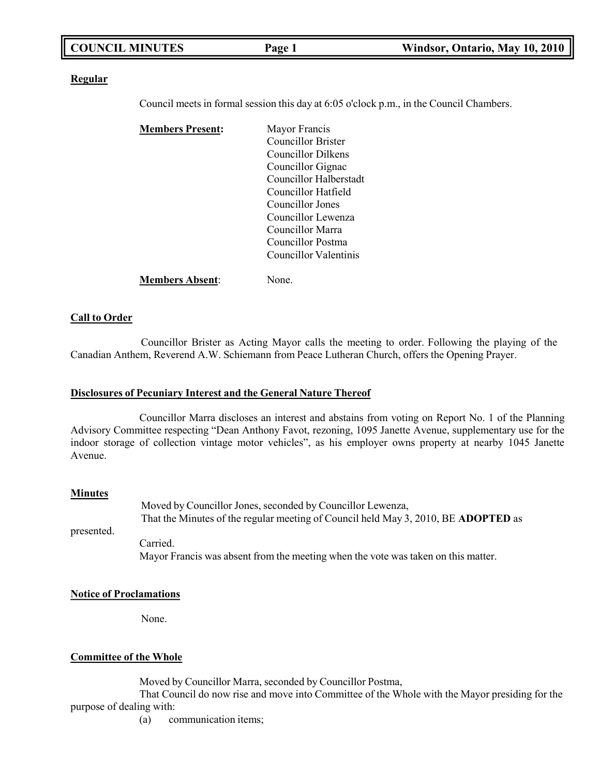| <b>COUNCIL MINUTES</b> | $P$ age $\mathbf{r}$ | Windsor, Ontario, May 10, 2010 |
|------------------------|----------------------|--------------------------------|
|                        |                      |                                |

#### **Regular**

Council meets in formal session this day at 6:05 o'clock p.m., in the Council Chambers.

| <b>Members Present:</b> | Mayor Francis             |
|-------------------------|---------------------------|
|                         | <b>Councillor Brister</b> |
|                         | Councillor Dilkens        |
|                         | Councillor Gignac         |
|                         | Councillor Halberstadt    |
|                         | Councillor Hatfield       |
|                         | Councillor Jones          |
|                         | Councillor Lewenza        |
|                         | Councillor Marra          |
|                         | Councillor Postma         |
|                         | Councillor Valentinis     |
|                         |                           |

**Members Absent**: None.

#### **Call to Order**

Councillor Brister as Acting Mayor calls the meeting to order. Following the playing of the Canadian Anthem, Reverend A.W. Schiemann from Peace Lutheran Church, offers the Opening Prayer.

#### **Disclosures of Pecuniary Interest and the General Nature Thereof**

Councillor Marra discloses an interest and abstains from voting on Report No. 1 of the Planning Advisory Committee respecting "Dean Anthony Favot, rezoning, 1095 Janette Avenue, supplementary use for the indoor storage of collection vintage motor vehicles", as his employer owns property at nearby 1045 Janette Avenue.

#### **Minutes**

presented. Moved by Councillor Jones, seconded by Councillor Lewenza, That the Minutes of the regular meeting of Council held May 3, 2010, BE **ADOPTED** as Carried. Mayor Francis was absent from the meeting when the vote was taken on this matter.

#### **Notice of Proclamations**

None.

### **Committee of the Whole**

Moved by Councillor Marra, seconded by Councillor Postma,

That Council do now rise and move into Committee of the Whole with the Mayor presiding for the purpose of dealing with:

(a) communication items;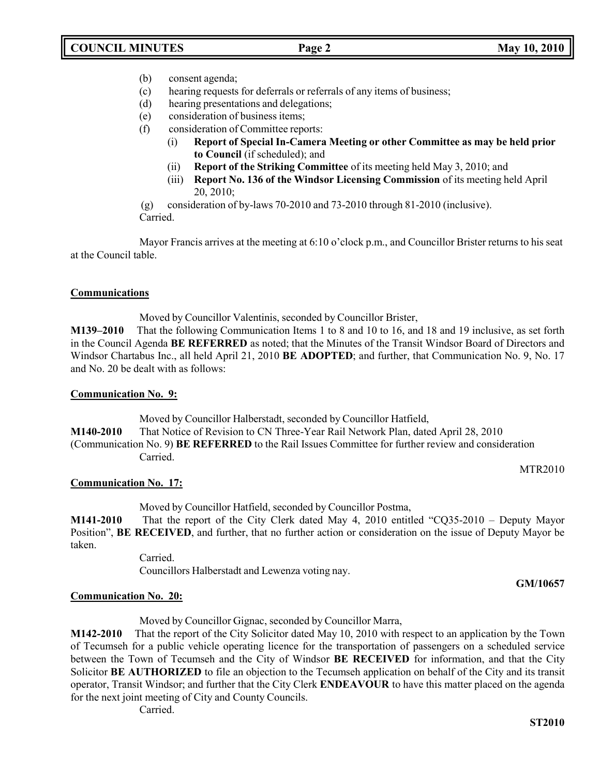- (b) consent agenda;
- (c) hearing requests for deferrals or referrals of any items of business;
- (d) hearing presentations and delegations;
- (e) consideration of business items;
- (f) consideration of Committee reports:
	- (i) **Report of Special In-Camera Meeting or other Committee as may be held prior to Council** (if scheduled); and
	- (ii) **Report of the Striking Committee** of its meeting held May 3, 2010; and
	- (iii) **Report No. 136 of the Windsor Licensing Commission** of its meeting held April 20, 2010;

(g) consideration of by-laws 70-2010 and 73-2010 through 81-2010 (inclusive). Carried.

Mayor Francis arrives at the meeting at 6:10 o'clock p.m., and Councillor Brister returns to his seat at the Council table.

## **Communications**

Moved by Councillor Valentinis, seconded by Councillor Brister,

**M139–2010** That the following Communication Items 1 to 8 and 10 to 16, and 18 and 19 inclusive, as set forth in the Council Agenda **BE REFERRED** as noted; that the Minutes of the Transit Windsor Board of Directors and Windsor Chartabus Inc., all held April 21, 2010 **BE ADOPTED**; and further, that Communication No. 9, No. 17 and No. 20 be dealt with as follows:

### **Communication No. 9:**

Moved by Councillor Halberstadt, seconded by Councillor Hatfield,

**M140-2010** That Notice of Revision to CN Three-Year Rail Network Plan, dated April 28, 2010

(Communication No. 9) **BE REFERRED** to the Rail Issues Committee for further review and consideration Carried.

MTR2010

### **Communication No. 17:**

Moved by Councillor Hatfield, seconded by Councillor Postma,

**M141-2010** That the report of the City Clerk dated May 4, 2010 entitled "CQ35-2010 – Deputy Mayor Position", **BE RECEIVED**, and further, that no further action or consideration on the issue of Deputy Mayor be taken.

> Carried. Councillors Halberstadt and Lewenza voting nay.

**GM/10657**

### **Communication No. 20:**

Moved by Councillor Gignac, seconded by Councillor Marra,

**M142-2010** That the report of the City Solicitor dated May 10, 2010 with respect to an application by the Town of Tecumseh for a public vehicle operating licence for the transportation of passengers on a scheduled service between the Town of Tecumseh and the City of Windsor **BE RECEIVED** for information, and that the City Solicitor **BE AUTHORIZED** to file an objection to the Tecumseh application on behalf of the City and its transit operator, Transit Windsor; and further that the City Clerk **ENDEAVOUR** to have this matter placed on the agenda for the next joint meeting of City and County Councils.

Carried.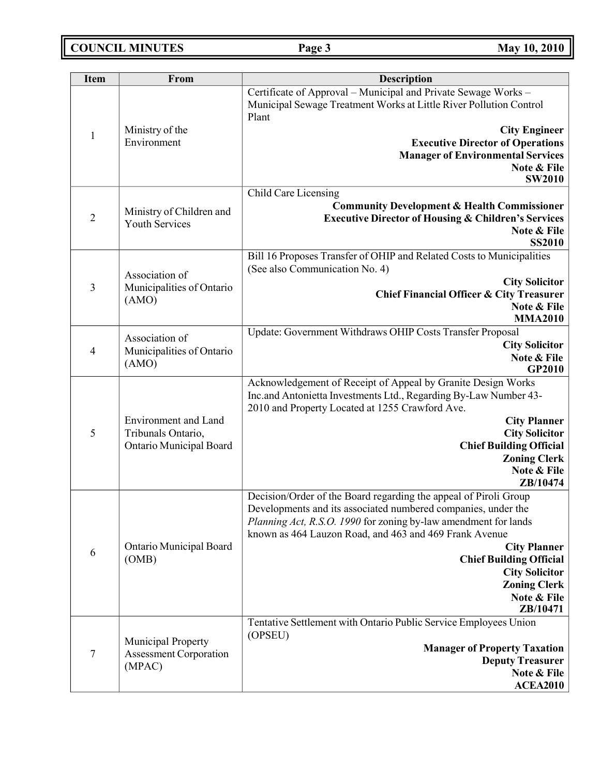**COUNCIL MINUTES Page 3 May 10, 2010**

| <b>Item</b>    | From                                                | <b>Description</b>                                                                                                                            |
|----------------|-----------------------------------------------------|-----------------------------------------------------------------------------------------------------------------------------------------------|
|                |                                                     | Certificate of Approval - Municipal and Private Sewage Works -<br>Municipal Sewage Treatment Works at Little River Pollution Control<br>Plant |
| $\mathbf{1}$   | Ministry of the                                     | <b>City Engineer</b>                                                                                                                          |
|                | Environment                                         | <b>Executive Director of Operations</b>                                                                                                       |
|                |                                                     | <b>Manager of Environmental Services</b>                                                                                                      |
|                |                                                     | Note & File                                                                                                                                   |
|                |                                                     | <b>SW2010</b><br>Child Care Licensing                                                                                                         |
|                |                                                     | <b>Community Development &amp; Health Commissioner</b>                                                                                        |
| $\overline{2}$ | Ministry of Children and                            | <b>Executive Director of Housing &amp; Children's Services</b>                                                                                |
|                | <b>Youth Services</b>                               | Note & File                                                                                                                                   |
|                |                                                     | <b>SS2010</b>                                                                                                                                 |
|                |                                                     | Bill 16 Proposes Transfer of OHIP and Related Costs to Municipalities                                                                         |
|                | Association of                                      | (See also Communication No. 4)                                                                                                                |
| 3              | Municipalities of Ontario                           | <b>City Solicitor</b>                                                                                                                         |
|                | (AMO)                                               | Chief Financial Officer & City Treasurer<br>Note & File                                                                                       |
|                |                                                     | <b>MMA2010</b>                                                                                                                                |
|                | Association of                                      | Update: Government Withdraws OHIP Costs Transfer Proposal                                                                                     |
| $\overline{4}$ | Municipalities of Ontario                           | <b>City Solicitor</b>                                                                                                                         |
|                | (AMO)                                               | Note & File                                                                                                                                   |
|                |                                                     | GP2010                                                                                                                                        |
|                |                                                     | Acknowledgement of Receipt of Appeal by Granite Design Works<br>Inc.and Antonietta Investments Ltd., Regarding By-Law Number 43-              |
|                |                                                     | 2010 and Property Located at 1255 Crawford Ave.                                                                                               |
|                | Environment and Land                                | <b>City Planner</b>                                                                                                                           |
| 5              | Tribunals Ontario,<br>Ontario Municipal Board       | <b>City Solicitor</b>                                                                                                                         |
|                |                                                     | <b>Chief Building Official</b>                                                                                                                |
|                |                                                     | <b>Zoning Clerk</b>                                                                                                                           |
|                |                                                     | Note & File<br>ZB/10474                                                                                                                       |
|                |                                                     | Decision/Order of the Board regarding the appeal of Piroli Group                                                                              |
|                |                                                     | Developments and its associated numbered companies, under the                                                                                 |
|                |                                                     | Planning Act, R.S.O. 1990 for zoning by-law amendment for lands                                                                               |
|                |                                                     | known as 464 Lauzon Road, and 463 and 469 Frank Avenue                                                                                        |
| 6              | Ontario Municipal Board                             | <b>City Planner</b>                                                                                                                           |
|                | (OMB)                                               | <b>Chief Building Official</b>                                                                                                                |
|                |                                                     | <b>City Solicitor</b><br><b>Zoning Clerk</b>                                                                                                  |
|                |                                                     | Note & File                                                                                                                                   |
|                |                                                     | ZB/10471                                                                                                                                      |
|                |                                                     | Tentative Settlement with Ontario Public Service Employees Union                                                                              |
|                | Municipal Property<br><b>Assessment Corporation</b> | (OPSEU)                                                                                                                                       |
| $\overline{7}$ |                                                     | <b>Manager of Property Taxation</b>                                                                                                           |
|                | (MPAC)                                              | <b>Deputy Treasurer</b><br>Note & File                                                                                                        |
|                |                                                     | <b>ACEA2010</b>                                                                                                                               |
|                |                                                     |                                                                                                                                               |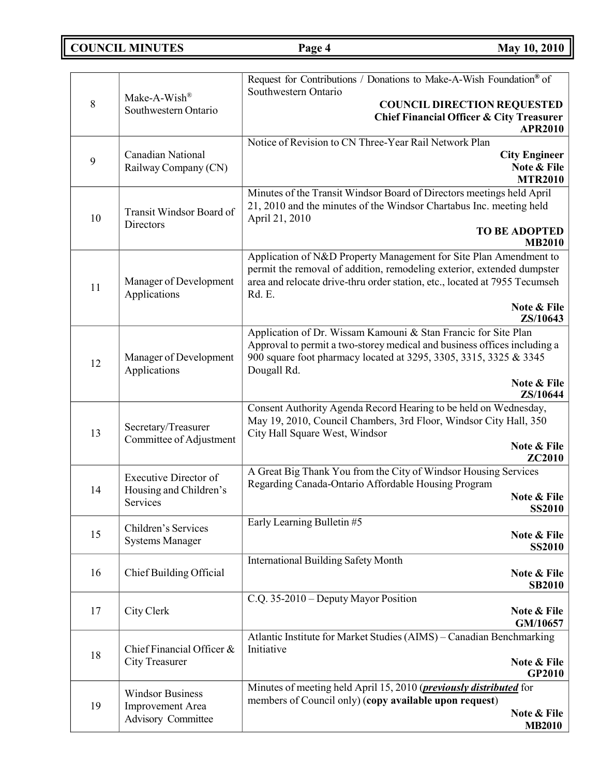**COUNCIL MINUTES Page 4 May 10, 2010**

|    |                              | Request for Contributions / Donations to Make-A-Wish Foundation® of                                                                         |
|----|------------------------------|---------------------------------------------------------------------------------------------------------------------------------------------|
|    | Make-A-Wish®                 | Southwestern Ontario                                                                                                                        |
| 8  | Southwestern Ontario         | <b>COUNCIL DIRECTION REQUESTED</b>                                                                                                          |
|    |                              | <b>Chief Financial Officer &amp; City Treasurer</b><br><b>APR2010</b>                                                                       |
|    |                              | Notice of Revision to CN Three-Year Rail Network Plan                                                                                       |
|    | Canadian National            | <b>City Engineer</b>                                                                                                                        |
| 9  | Railway Company (CN)         | Note & File                                                                                                                                 |
|    |                              | <b>MTR2010</b>                                                                                                                              |
|    |                              | Minutes of the Transit Windsor Board of Directors meetings held April                                                                       |
|    | Transit Windsor Board of     | 21, 2010 and the minutes of the Windsor Chartabus Inc. meeting held                                                                         |
| 10 | Directors                    | April 21, 2010                                                                                                                              |
|    |                              | <b>TO BE ADOPTED</b>                                                                                                                        |
|    |                              | <b>MB2010</b>                                                                                                                               |
|    |                              | Application of N&D Property Management for Site Plan Amendment to<br>permit the removal of addition, remodeling exterior, extended dumpster |
|    | Manager of Development       | area and relocate drive-thru order station, etc., located at 7955 Tecumseh                                                                  |
| 11 | Applications                 | Rd. E.                                                                                                                                      |
|    |                              | Note & File                                                                                                                                 |
|    |                              | ZS/10643                                                                                                                                    |
|    |                              | Application of Dr. Wissam Kamouni & Stan Francic for Site Plan                                                                              |
|    |                              | Approval to permit a two-storey medical and business offices including a                                                                    |
| 12 | Manager of Development       | 900 square foot pharmacy located at 3295, 3305, 3315, 3325 & 3345                                                                           |
|    | Applications                 | Dougall Rd.                                                                                                                                 |
|    |                              | Note & File<br>ZS/10644                                                                                                                     |
|    |                              | Consent Authority Agenda Record Hearing to be held on Wednesday,                                                                            |
|    |                              | May 19, 2010, Council Chambers, 3rd Floor, Windsor City Hall, 350                                                                           |
| 13 | Secretary/Treasurer          | City Hall Square West, Windsor                                                                                                              |
|    | Committee of Adjustment      | Note & File                                                                                                                                 |
|    |                              | <b>ZC2010</b>                                                                                                                               |
|    | <b>Executive Director of</b> | A Great Big Thank You from the City of Windsor Housing Services                                                                             |
| 14 | Housing and Children's       | Regarding Canada-Ontario Affordable Housing Program                                                                                         |
|    | Services                     | Note & File<br><b>SS2010</b>                                                                                                                |
|    |                              | Early Learning Bulletin #5                                                                                                                  |
| 15 | Children's Services          | Note & File                                                                                                                                 |
|    | <b>Systems Manager</b>       | <b>SS2010</b>                                                                                                                               |
|    |                              | <b>International Building Safety Month</b>                                                                                                  |
| 16 | Chief Building Official      | Note & File                                                                                                                                 |
|    |                              | <b>SB2010</b>                                                                                                                               |
|    |                              | C.Q. 35-2010 - Deputy Mayor Position                                                                                                        |
| 17 | City Clerk                   | Note & File<br>GM/10657                                                                                                                     |
|    |                              | Atlantic Institute for Market Studies (AIMS) - Canadian Benchmarking                                                                        |
|    | Chief Financial Officer &    | Initiative                                                                                                                                  |
| 18 | <b>City Treasurer</b>        | Note & File                                                                                                                                 |
|    |                              | <b>GP2010</b>                                                                                                                               |
|    | <b>Windsor Business</b>      | Minutes of meeting held April 15, 2010 ( <i>previously distributed</i> for                                                                  |
| 19 | Improvement Area             | members of Council only) (copy available upon request)                                                                                      |
|    | Advisory Committee           | Note & File                                                                                                                                 |
|    |                              | <b>MB2010</b>                                                                                                                               |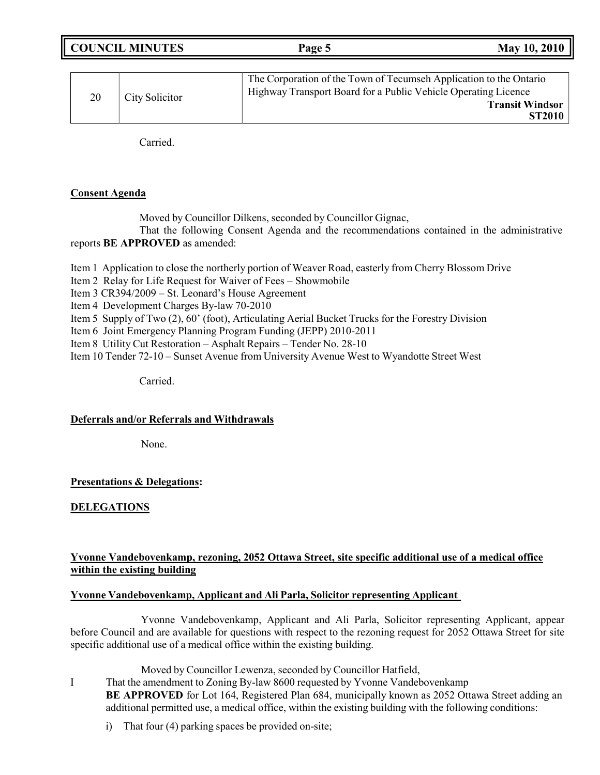|                      | <b>COUNCIL MINUTES</b>                                                                                                               | Page 5 | May 10, 2010                            |
|----------------------|--------------------------------------------------------------------------------------------------------------------------------------|--------|-----------------------------------------|
|                      |                                                                                                                                      |        |                                         |
| City Solicitor<br>20 | The Corporation of the Town of Tecumseh Application to the Ontario<br>Highway Transport Board for a Public Vehicle Operating Licence |        |                                         |
|                      |                                                                                                                                      |        | <b>Transit Windsor</b><br><b>ST2010</b> |
|                      |                                                                                                                                      |        |                                         |

Carried.

# **Consent Agenda**

Moved by Councillor Dilkens, seconded by Councillor Gignac,

That the following Consent Agenda and the recommendations contained in the administrative reports **BE APPROVED** as amended:

Item 1 Application to close the northerly portion of Weaver Road, easterly from Cherry Blossom Drive

Item 2 Relay for Life Request for Waiver of Fees – Showmobile

Item 3 CR394/2009 – St. Leonard's House Agreement

Item 4 Development Charges By-law 70-2010

Item 5 Supply of Two (2), 60' (foot), Articulating Aerial Bucket Trucks for the Forestry Division

Item 6 Joint Emergency Planning Program Funding (JEPP) 2010-2011

Item 8 Utility Cut Restoration – Asphalt Repairs – Tender No. 28-10

Item 10 Tender 72-10 – Sunset Avenue from University Avenue West to Wyandotte Street West

Carried.

### **Deferrals and/or Referrals and Withdrawals**

None.

# **Presentations & Delegations:**

# **DELEGATIONS**

# **Yvonne Vandebovenkamp, rezoning, 2052 Ottawa Street, site specific additional use of a medical office within the existing building**

# **Yvonne Vandebovenkamp, Applicant and Ali Parla, Solicitor representing Applicant**

Yvonne Vandebovenkamp, Applicant and Ali Parla, Solicitor representing Applicant, appear before Council and are available for questions with respect to the rezoning request for 2052 Ottawa Street for site specific additional use of a medical office within the existing building.

Moved by Councillor Lewenza, seconded by Councillor Hatfield,

I That the amendment to Zoning By-law 8600 requested by Yvonne Vandebovenkamp **BE APPROVED** for Lot 164, Registered Plan 684, municipally known as 2052 Ottawa Street adding an additional permitted use, a medical office, within the existing building with the following conditions:

i) That four (4) parking spaces be provided on-site;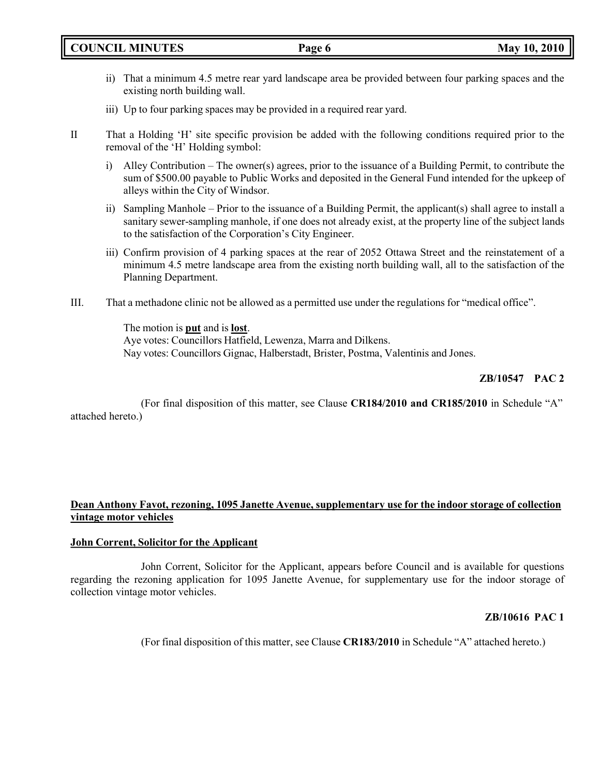- ii) That a minimum 4.5 metre rear yard landscape area be provided between four parking spaces and the existing north building wall.
- iii) Up to four parking spaces may be provided in a required rear yard.
- II That a Holding 'H' site specific provision be added with the following conditions required prior to the removal of the 'H' Holding symbol:
	- i) Alley Contribution The owner(s) agrees, prior to the issuance of a Building Permit, to contribute the sum of \$500.00 payable to Public Works and deposited in the General Fund intended for the upkeep of alleys within the City of Windsor.
	- ii) Sampling Manhole Prior to the issuance of a Building Permit, the applicant(s) shall agree to install a sanitary sewer-sampling manhole, if one does not already exist, at the property line of the subject lands to the satisfaction of the Corporation's City Engineer.
	- iii) Confirm provision of 4 parking spaces at the rear of 2052 Ottawa Street and the reinstatement of a minimum 4.5 metre landscape area from the existing north building wall, all to the satisfaction of the Planning Department.
- III. That a methadone clinic not be allowed as a permitted use under the regulations for "medical office".

The motion is **put** and is **lost**. Aye votes: Councillors Hatfield, Lewenza, Marra and Dilkens. Nay votes: Councillors Gignac, Halberstadt, Brister, Postma, Valentinis and Jones.

# **ZB/10547 PAC 2**

(For final disposition of this matter, see Clause **CR184/2010 and CR185/2010** in Schedule "A" attached hereto.)

### **Dean Anthony Favot, rezoning, 1095 Janette Avenue, supplementary use for the indoor storage of collection vintage motor vehicles**

### **John Corrent, Solicitor for the Applicant**

John Corrent, Solicitor for the Applicant, appears before Council and is available for questions regarding the rezoning application for 1095 Janette Avenue, for supplementary use for the indoor storage of collection vintage motor vehicles.

### **ZB/10616 PAC 1**

(For final disposition of this matter, see Clause **CR183/2010** in Schedule "A" attached hereto.)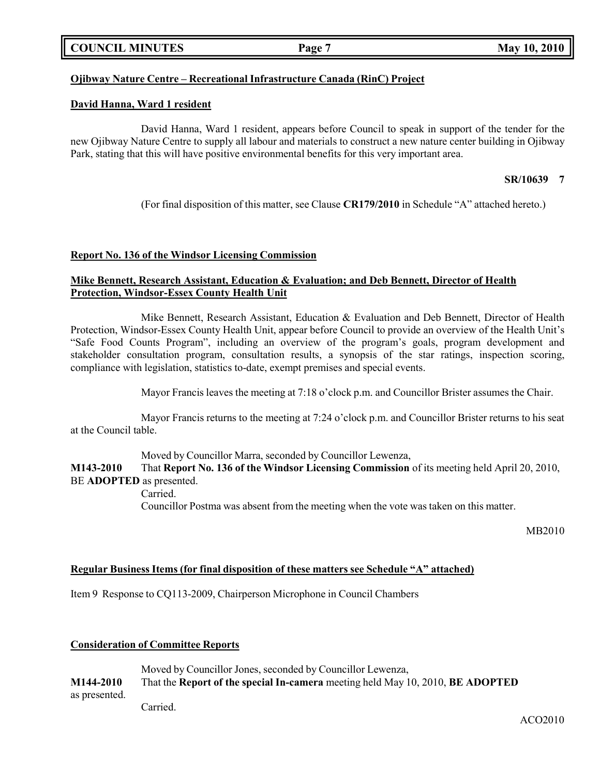## **COUNCIL MINUTES Page 7 May 10, 2010**

## **Ojibway Nature Centre – Recreational Infrastructure Canada (RinC) Project**

#### **David Hanna, Ward 1 resident**

David Hanna, Ward 1 resident, appears before Council to speak in support of the tender for the new Ojibway Nature Centre to supply all labour and materials to construct a new nature center building in Ojibway Park, stating that this will have positive environmental benefits for this very important area.

#### **SR/10639 7**

(For final disposition of this matter, see Clause **CR179/2010** in Schedule "A" attached hereto.)

#### **Report No. 136 of the Windsor Licensing Commission**

### **Mike Bennett, Research Assistant, Education & Evaluation; and Deb Bennett, Director of Health Protection, Windsor-Essex County Health Unit**

Mike Bennett, Research Assistant, Education & Evaluation and Deb Bennett, Director of Health Protection, Windsor-Essex County Health Unit, appear before Council to provide an overview of the Health Unit's "Safe Food Counts Program", including an overview of the program's goals, program development and stakeholder consultation program, consultation results, a synopsis of the star ratings, inspection scoring, compliance with legislation, statistics to-date, exempt premises and special events.

Mayor Francis leaves the meeting at 7:18 o'clock p.m. and Councillor Brister assumes the Chair.

Mayor Francis returns to the meeting at 7:24 o'clock p.m. and Councillor Brister returns to his seat at the Council table.

Moved by Councillor Marra, seconded by Councillor Lewenza,

**M143-2010** That **Report No. 136 of the Windsor Licensing Commission** of its meeting held April 20, 2010, BE **ADOPTED** as presented.

Carried.

Councillor Postma was absent from the meeting when the vote was taken on this matter.

MB2010

ACO2010

#### **Regular Business Items (for final disposition of these matters see Schedule "A" attached)**

Item 9 Response to CQ113-2009, Chairperson Microphone in Council Chambers

#### **Consideration of Committee Reports**

Moved by Councillor Jones, seconded by Councillor Lewenza, **M144-2010** That the **Report of the special In-camera** meeting held May 10, 2010, **BE ADOPTED** as presented.

Carried.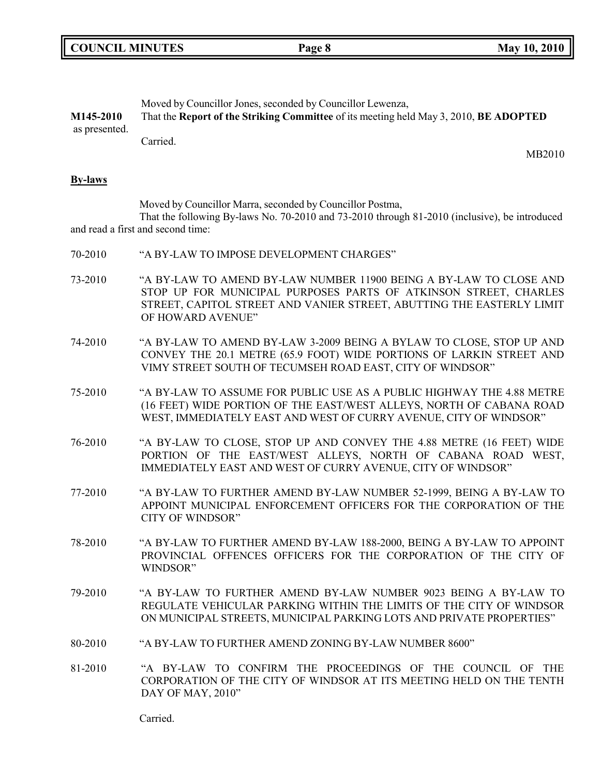|  | <b>COUNCIL MINUTES</b> |
|--|------------------------|
|--|------------------------|

Moved by Councillor Jones, seconded by Councillor Lewenza,

**COUNCIL <b>EVALUATE Page 8 May** 10, 2010

| M145-2010<br>as presented. | That the Report of the Striking Committee of its meeting held May 3, 2010, BE ADOPTED                                                                                                                                                |  |
|----------------------------|--------------------------------------------------------------------------------------------------------------------------------------------------------------------------------------------------------------------------------------|--|
|                            | Carried.<br>MB2010                                                                                                                                                                                                                   |  |
| <b>By-laws</b>             |                                                                                                                                                                                                                                      |  |
|                            | Moved by Councillor Marra, seconded by Councillor Postma,<br>That the following By-laws No. 70-2010 and 73-2010 through 81-2010 (inclusive), be introduced<br>and read a first and second time:                                      |  |
| 70-2010                    | "A BY-LAW TO IMPOSE DEVELOPMENT CHARGES"                                                                                                                                                                                             |  |
| 73-2010                    | "A BY-LAW TO AMEND BY-LAW NUMBER 11900 BEING A BY-LAW TO CLOSE AND<br>STOP UP FOR MUNICIPAL PURPOSES PARTS OF ATKINSON STREET, CHARLES<br>STREET, CAPITOL STREET AND VANIER STREET, ABUTTING THE EASTERLY LIMIT<br>OF HOWARD AVENUE" |  |
| 74-2010                    | "A BY-LAW TO AMEND BY-LAW 3-2009 BEING A BYLAW TO CLOSE, STOP UP AND<br>CONVEY THE 20.1 METRE (65.9 FOOT) WIDE PORTIONS OF LARKIN STREET AND<br>VIMY STREET SOUTH OF TECUMSEH ROAD EAST, CITY OF WINDSOR"                            |  |
| 75-2010                    | "A BY-LAW TO ASSUME FOR PUBLIC USE AS A PUBLIC HIGHWAY THE 4.88 METRE<br>(16 FEET) WIDE PORTION OF THE EAST/WEST ALLEYS, NORTH OF CABANA ROAD<br>WEST, IMMEDIATELY EAST AND WEST OF CURRY AVENUE, CITY OF WINDSOR"                   |  |
| 76-2010                    | "A BY-LAW TO CLOSE, STOP UP AND CONVEY THE 4.88 METRE (16 FEET) WIDE<br>PORTION OF THE EAST/WEST ALLEYS, NORTH OF CABANA ROAD WEST,<br>IMMEDIATELY EAST AND WEST OF CURRY AVENUE, CITY OF WINDSOR"                                   |  |
| 77-2010                    | "A BY-LAW TO FURTHER AMEND BY-LAW NUMBER 52-1999, BEING A BY-LAW TO<br>APPOINT MUNICIPAL ENFORCEMENT OFFICERS FOR THE CORPORATION OF THE<br><b>CITY OF WINDSOR"</b>                                                                  |  |
| 78-2010                    | "A BY-LAW TO FURTHER AMEND BY-LAW 188-2000, BEING A BY-LAW TO APPOINT<br>PROVINCIAL OFFENCES OFFICERS FOR THE CORPORATION OF THE CITY OF<br>WINDSOR"                                                                                 |  |
| 79-2010                    | "A BY-LAW TO FURTHER AMEND BY-LAW NUMBER 9023 BEING A BY-LAW TO<br>REGULATE VEHICULAR PARKING WITHIN THE LIMITS OF THE CITY OF WINDSOR<br>ON MUNICIPAL STREETS, MUNICIPAL PARKING LOTS AND PRIVATE PROPERTIES"                       |  |
| 80-2010                    | "A BY-LAW TO FURTHER AMEND ZONING BY-LAW NUMBER 8600"                                                                                                                                                                                |  |
| 81-2010                    | "A BY-LAW TO CONFIRM THE PROCEEDINGS OF THE COUNCIL OF THE<br>CORPORATION OF THE CITY OF WINDSOR AT ITS MEETING HELD ON THE TENTH<br>DAY OF MAY, 2010"                                                                               |  |

Carried.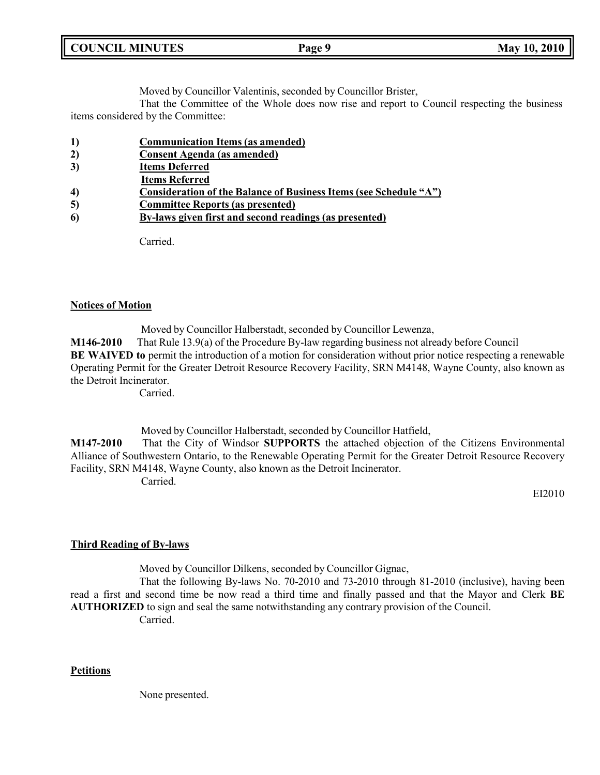| <b>COUNCIL</b><br><b>MINUTES</b> | Page 9 | <b>May</b><br>2010<br><b>10.</b> |
|----------------------------------|--------|----------------------------------|
|                                  |        |                                  |

Moved by Councillor Valentinis, seconded by Councillor Brister,

That the Committee of the Whole does now rise and report to Council respecting the business items considered by the Committee:

- **1) Communication Items (as amended)**
- **2) Consent Agenda (as amended)**
- **3) Items Deferred**
- **Items Referred**
- **4) Consideration of the Balance of Business Items (see Schedule "A")**
- **5) Committee Reports (as presented)**
- **6) By-laws given first and second readings (as presented)**

Carried.

#### **Notices of Motion**

Moved by Councillor Halberstadt, seconded by Councillor Lewenza, **M146-2010** That Rule 13.9(a) of the Procedure By-law regarding business not already before Council **BE WAIVED to** permit the introduction of a motion for consideration without prior notice respecting a renewable Operating Permit for the Greater Detroit Resource Recovery Facility, SRN M4148, Wayne County, also known as the Detroit Incinerator.

Carried.

Moved by Councillor Halberstadt, seconded by Councillor Hatfield,

**M147-2010** That the City of Windsor **SUPPORTS** the attached objection of the Citizens Environmental Alliance of Southwestern Ontario, to the Renewable Operating Permit for the Greater Detroit Resource Recovery Facility, SRN M4148, Wayne County, also known as the Detroit Incinerator. Carried.

EI2010

### **Third Reading of By-laws**

Moved by Councillor Dilkens, seconded by Councillor Gignac,

That the following By-laws No. 70-2010 and 73-2010 through 81-2010 (inclusive), having been read a first and second time be now read a third time and finally passed and that the Mayor and Clerk **BE AUTHORIZED** to sign and seal the same notwithstanding any contrary provision of the Council. Carried.

#### **Petitions**

None presented.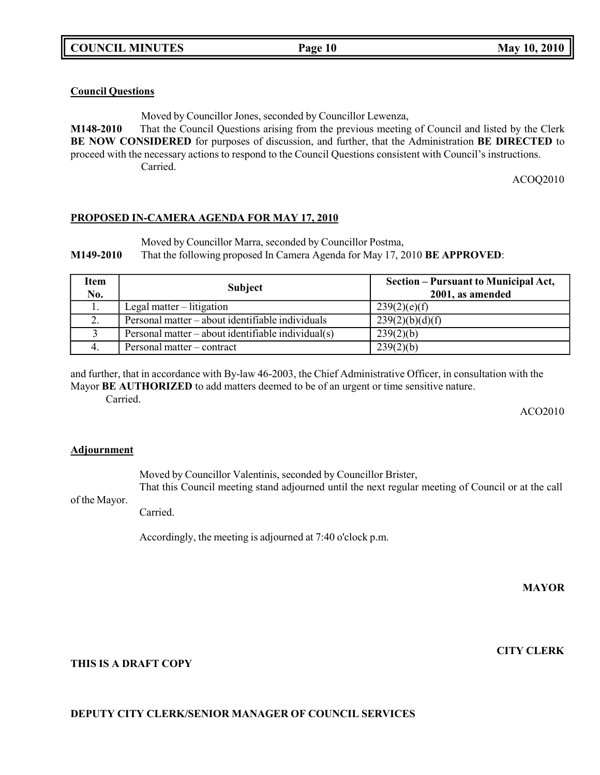### **Council Questions**

Moved by Councillor Jones, seconded by Councillor Lewenza,

**M148-2010** That the Council Questions arising from the previous meeting of Council and listed by the Clerk **BE NOW CONSIDERED** for purposes of discussion, and further, that the Administration **BE DIRECTED** to proceed with the necessary actions to respond to the Council Questions consistent with Council's instructions. Carried.

ACOQ2010

### **PROPOSED IN-CAMERA AGENDA FOR MAY 17, 2010**

Moved by Councillor Marra, seconded by Councillor Postma,

**M149-2010** That the following proposed In Camera Agenda for May 17, 2010 **BE APPROVED**:

| Item<br>No. | <b>Subject</b>                                     | Section – Pursuant to Municipal Act,<br>2001, as amended |
|-------------|----------------------------------------------------|----------------------------------------------------------|
|             | Legal matter $-$ litigation                        | 239(2)(e)(f)                                             |
|             | Personal matter – about identifiable individuals   | 239(2)(b)(d)(f)                                          |
|             | Personal matter – about identifiable individual(s) | 239(2)(b)                                                |
|             | Personal matter – contract                         | 239(2)(b)                                                |

and further, that in accordance with By-law 46-2003, the Chief Administrative Officer, in consultation with the Mayor **BE AUTHORIZED** to add matters deemed to be of an urgent or time sensitive nature.

Carried.

ACO2010

### **Adjournment**

Moved by Councillor Valentinis, seconded by Councillor Brister, That this Council meeting stand adjourned until the next regular meeting of Council or at the call

of the Mayor. Carried.

Accordingly, the meeting is adjourned at 7:40 o'clock p.m.

**MAYOR**

**CITY CLERK**

### **THIS IS A DRAFT COPY**

### **DEPUTY CITY CLERK/SENIOR MANAGER OF COUNCIL SERVICES**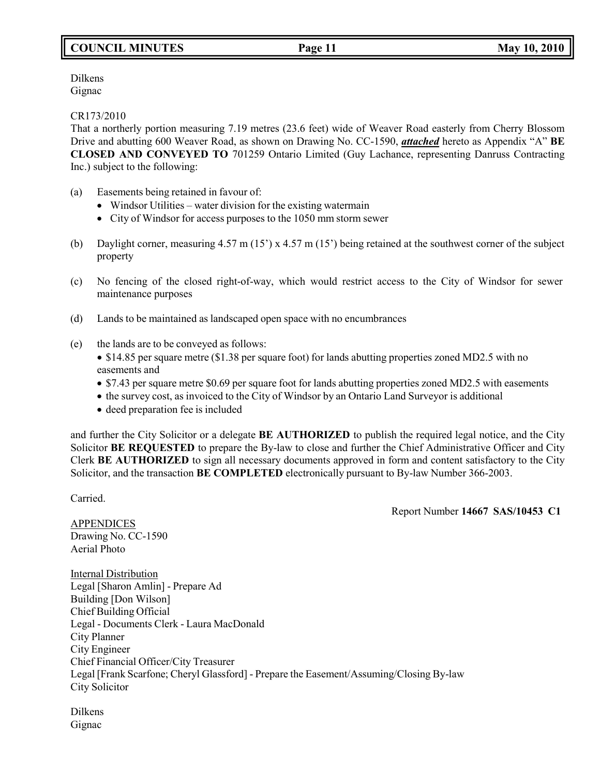# **COUNCIL MINUTES Page 11 May 10, 2010**

Dilkens Gignac

CR173/2010

That a northerly portion measuring 7.19 metres (23.6 feet) wide of Weaver Road easterly from Cherry Blossom Drive and abutting 600 Weaver Road, as shown on Drawing No. CC-1590, *attached* hereto as Appendix "A" **BE CLOSED AND CONVEYED TO** 701259 Ontario Limited (Guy Lachance, representing Danruss Contracting Inc.) subject to the following:

- (a) Easements being retained in favour of:
	- Windsor Utilities water division for the existing watermain
	- City of Windsor for access purposes to the 1050 mm storm sewer
- (b) Daylight corner, measuring 4.57 m (15') x 4.57 m (15') being retained at the southwest corner of the subject property
- (c) No fencing of the closed right-of-way, which would restrict access to the City of Windsor for sewer maintenance purposes
- (d) Lands to be maintained as landscaped open space with no encumbrances
- (e) the lands are to be conveyed as follows:
	- \$14.85 per square metre (\$1.38 per square foot) for lands abutting properties zoned MD2.5 with no easements and
	- \$7.43 per square metre \$0.69 per square foot for lands abutting properties zoned MD2.5 with easements
	- the survey cost, as invoiced to the City of Windsor by an Ontario Land Surveyor is additional
	- deed preparation fee is included

and further the City Solicitor or a delegate **BE AUTHORIZED** to publish the required legal notice, and the City Solicitor **BE REQUESTED** to prepare the By-law to close and further the Chief Administrative Officer and City Clerk **BE AUTHORIZED** to sign all necessary documents approved in form and content satisfactory to the City Solicitor, and the transaction **BE COMPLETED** electronically pursuant to By-law Number 366-2003.

Carried.

Report Number **14667 SAS/10453 C1**

APPENDICES Drawing No. CC-1590 Aerial Photo

Internal Distribution Legal [Sharon Amlin] - Prepare Ad Building [Don Wilson] Chief Building Official Legal - Documents Clerk - Laura MacDonald City Planner City Engineer Chief Financial Officer/City Treasurer Legal [Frank Scarfone; Cheryl Glassford] - Prepare the Easement/Assuming/Closing By-law City Solicitor

Dilkens Gignac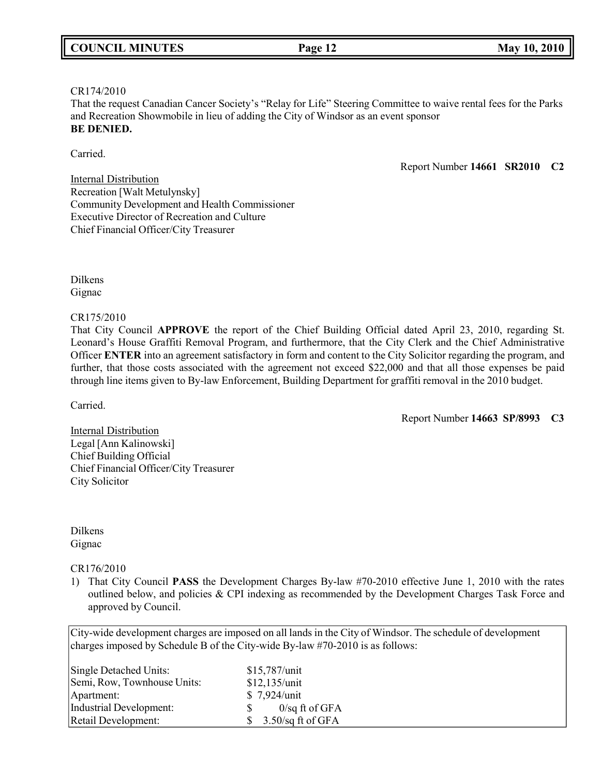# CR174/2010

That the request Canadian Cancer Society's "Relay for Life" Steering Committee to waive rental fees for the Parks and Recreation Showmobile in lieu of adding the City of Windsor as an event sponsor **BE DENIED.**

Carried.

Report Number **14661 SR2010 C2**

Internal Distribution Recreation [Walt Metulynsky] Community Development and Health Commissioner Executive Director of Recreation and Culture Chief Financial Officer/City Treasurer

Dilkens Gignac

CR175/2010

That City Council **APPROVE** the report of the Chief Building Official dated April 23, 2010, regarding St. Leonard's House Graffiti Removal Program, and furthermore, that the City Clerk and the Chief Administrative Officer **ENTER** into an agreement satisfactory in form and content to the City Solicitor regarding the program, and further, that those costs associated with the agreement not exceed \$22,000 and that all those expenses be paid through line items given to By-law Enforcement, Building Department for graffiti removal in the 2010 budget.

Carried.

Report Number **14663 SP/8993 C3**

**Internal Distribution** Legal [Ann Kalinowski] Chief Building Official Chief Financial Officer/City Treasurer City Solicitor

Dilkens Gignac

CR176/2010

1) That City Council **PASS** the Development Charges By-law #70-2010 effective June 1, 2010 with the rates outlined below, and policies & CPI indexing as recommended by the Development Charges Task Force and approved by Council.

City-wide development charges are imposed on all lands in the City of Windsor. The schedule of development charges imposed by Schedule B of the City-wide By-law #70-2010 is as follows:

| Single Detached Units:      | \$15,787/unit              |
|-----------------------------|----------------------------|
| Semi, Row, Townhouse Units: | \$12,135/unit              |
| Apartment:                  | \$7,924/unit               |
| Industrial Development:     | $0$ /sq ft of GFA<br>S.    |
| Retail Development:         | $3.50$ /sq ft of GFA<br>S. |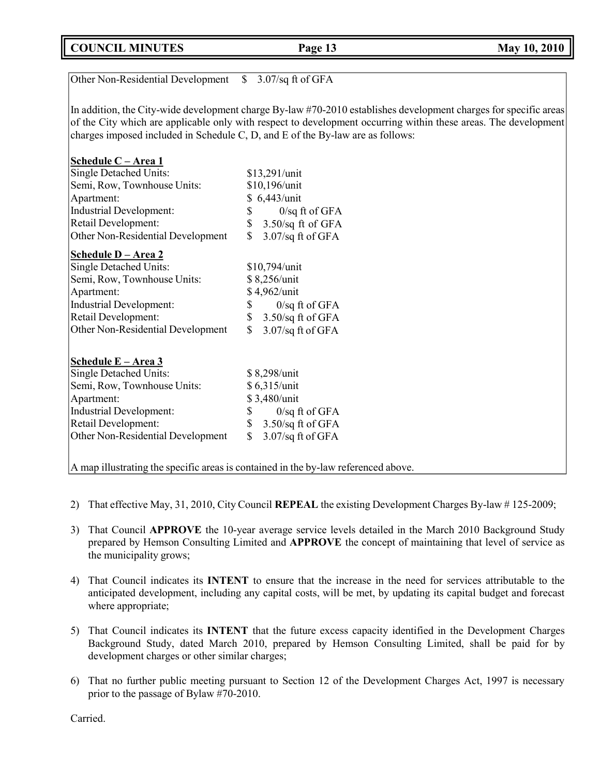**COUNCIL MINUTES Page 13 May 10, 2010**

| Other Non-Residential Development                                                  | 3.07/sq ft of GFA<br><sup>S</sup>                                                                                |  |
|------------------------------------------------------------------------------------|------------------------------------------------------------------------------------------------------------------|--|
|                                                                                    | In addition, the City-wide development charge By-law #70-2010 establishes development charges for specific areas |  |
|                                                                                    | of the City which are applicable only with respect to development occurring within these areas. The development  |  |
| charges imposed included in Schedule C, D, and E of the By-law are as follows:     |                                                                                                                  |  |
|                                                                                    |                                                                                                                  |  |
| Schedule C - Area 1                                                                |                                                                                                                  |  |
| <b>Single Detached Units:</b>                                                      | \$13,291/unit                                                                                                    |  |
| Semi, Row, Townhouse Units:                                                        | \$10,196/unit                                                                                                    |  |
| Apartment:                                                                         | \$ 6,443/unit                                                                                                    |  |
| <b>Industrial Development:</b>                                                     | $0$ /sq ft of GFA<br>\$                                                                                          |  |
| Retail Development:                                                                | \$<br>$3.50$ /sq ft of GFA                                                                                       |  |
| Other Non-Residential Development                                                  | \$<br>3.07/sq ft of GFA                                                                                          |  |
| Schedule D - Area 2                                                                |                                                                                                                  |  |
| <b>Single Detached Units:</b>                                                      | \$10,794/unit                                                                                                    |  |
| Semi, Row, Townhouse Units:                                                        | \$8,256/unit                                                                                                     |  |
| Apartment:                                                                         | \$4,962/unit                                                                                                     |  |
| <b>Industrial Development:</b>                                                     | $0$ /sq ft of GFA<br>\$                                                                                          |  |
| Retail Development:                                                                | \$<br>$3.50$ /sq ft of GFA                                                                                       |  |
| Other Non-Residential Development                                                  | 3.07/sq ft of GFA                                                                                                |  |
|                                                                                    |                                                                                                                  |  |
| Schedule E - Area 3                                                                |                                                                                                                  |  |
| <b>Single Detached Units:</b>                                                      | \$8,298/unit                                                                                                     |  |
| Semi, Row, Townhouse Units:                                                        | \$6,315/unit                                                                                                     |  |
| Apartment:                                                                         | \$3,480/unit                                                                                                     |  |
| Industrial Development:                                                            | \$<br>$0$ /sq ft of GFA                                                                                          |  |
| Retail Development:                                                                | $3.50$ /sq ft of GFA<br>\$                                                                                       |  |
| Other Non-Residential Development                                                  | \$<br>3.07/sq ft of GFA                                                                                          |  |
| A map illustrating the specific areas is contained in the by-law referenced above. |                                                                                                                  |  |

- 2) That effective May, 31, 2010, City Council **REPEAL** the existing Development Charges By-law # 125-2009;
- 3) That Council **APPROVE** the 10-year average service levels detailed in the March 2010 Background Study prepared by Hemson Consulting Limited and **APPROVE** the concept of maintaining that level of service as the municipality grows;
- 4) That Council indicates its **INTENT** to ensure that the increase in the need for services attributable to the anticipated development, including any capital costs, will be met, by updating its capital budget and forecast where appropriate;
- 5) That Council indicates its **INTENT** that the future excess capacity identified in the Development Charges Background Study, dated March 2010, prepared by Hemson Consulting Limited, shall be paid for by development charges or other similar charges;
- 6) That no further public meeting pursuant to Section 12 of the Development Charges Act, 1997 is necessary prior to the passage of Bylaw #70-2010.

Carried.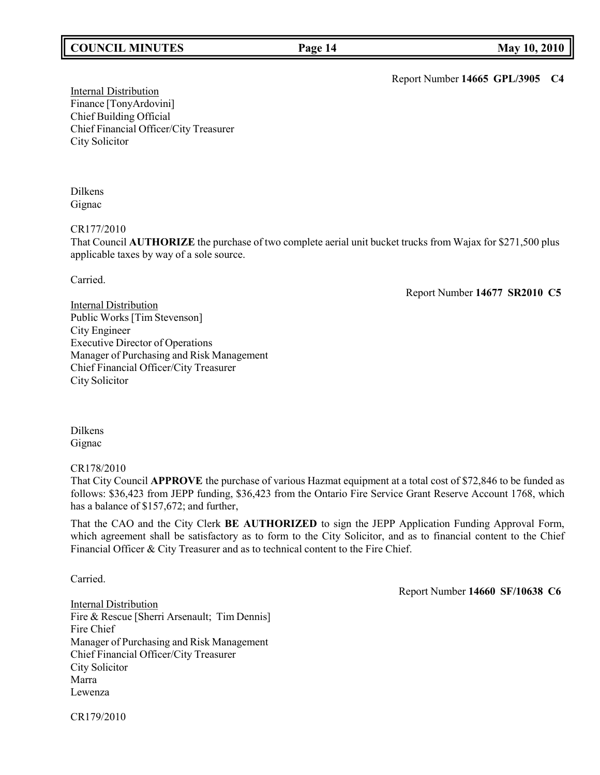## **COUNCIL MINUTES Page 14 May 10, 2010**

Report Number **14665 GPL/3905 C4**

Internal Distribution Finance [TonyArdovini] Chief Building Official Chief Financial Officer/City Treasurer City Solicitor

#### Dilkens Gignac

CR177/2010

That Council **AUTHORIZE** the purchase of two complete aerial unit bucket trucks from Wajax for \$271,500 plus applicable taxes by way of a sole source.

Carried.

Report Number **14677 SR2010 C5**

Internal Distribution Public Works [Tim Stevenson] City Engineer Executive Director of Operations Manager of Purchasing and Risk Management Chief Financial Officer/City Treasurer City Solicitor

Dilkens Gignac

CR178/2010

That City Council **APPROVE** the purchase of various Hazmat equipment at a total cost of \$72,846 to be funded as follows: \$36,423 from JEPP funding, \$36,423 from the Ontario Fire Service Grant Reserve Account 1768, which has a balance of \$157,672; and further,

That the CAO and the City Clerk **BE AUTHORIZED** to sign the JEPP Application Funding Approval Form, which agreement shall be satisfactory as to form to the City Solicitor, and as to financial content to the Chief Financial Officer & City Treasurer and as to technical content to the Fire Chief.

Carried.

Report Number **14660 SF/10638 C6**

Internal Distribution Fire & Rescue [Sherri Arsenault; Tim Dennis] Fire Chief Manager of Purchasing and Risk Management Chief Financial Officer/City Treasurer City Solicitor Marra Lewenza

CR179/2010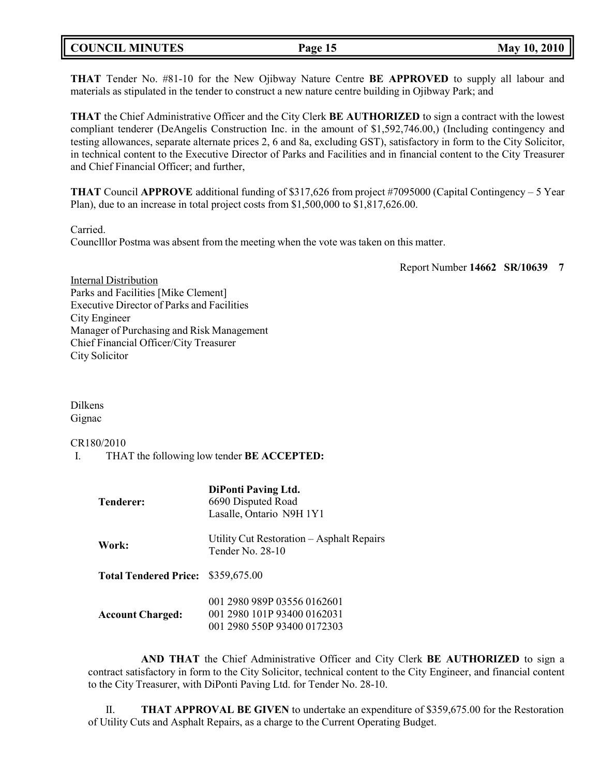|  | <b>COUNCIL MINUTES</b> |
|--|------------------------|
|--|------------------------|

**THAT** Tender No. #81-10 for the New Ojibway Nature Centre **BE APPROVED** to supply all labour and materials as stipulated in the tender to construct a new nature centre building in Ojibway Park; and

**THAT** the Chief Administrative Officer and the City Clerk **BE AUTHORIZED** to sign a contract with the lowest compliant tenderer (DeAngelis Construction Inc. in the amount of \$1,592,746.00,) (Including contingency and testing allowances, separate alternate prices 2, 6 and 8a, excluding GST), satisfactory in form to the City Solicitor, in technical content to the Executive Director of Parks and Facilities and in financial content to the City Treasurer and Chief Financial Officer; and further,

**THAT** Council **APPROVE** additional funding of \$317,626 from project #7095000 (Capital Contingency – 5 Year Plan), due to an increase in total project costs from \$1,500,000 to \$1,817,626.00.

Carried.

Counclllor Postma was absent from the meeting when the vote was taken on this matter.

Report Number **14662 SR/10639 7**

Internal Distribution Parks and Facilities [Mike Clement] Executive Director of Parks and Facilities City Engineer Manager of Purchasing and Risk Management Chief Financial Officer/City Treasurer City Solicitor

Dilkens Gignac

CR180/2010

I. THAT the following low tender **BE ACCEPTED:**

| <b>Tenderer:</b>                   | <b>DiPonti Paving Ltd.</b><br>6690 Disputed Road<br>Lasalle, Ontario N9H 1Y1              |
|------------------------------------|-------------------------------------------------------------------------------------------|
| Work:                              | Utility Cut Restoration – Asphalt Repairs<br>Tender No. 28-10                             |
| Total Tendered Price: \$359,675.00 |                                                                                           |
| <b>Account Charged:</b>            | 001 2980 989P 03556 0162601<br>001 2980 101P 93400 0162031<br>001 2980 550P 93400 0172303 |

**AND THAT** the Chief Administrative Officer and City Clerk **BE AUTHORIZED** to sign a contract satisfactory in form to the City Solicitor, technical content to the City Engineer, and financial content to the City Treasurer, with DiPonti Paving Ltd. for Tender No. 28-10.

II. **THAT APPROVAL BE GIVEN** to undertake an expenditure of \$359,675.00 for the Restoration of Utility Cuts and Asphalt Repairs, as a charge to the Current Operating Budget.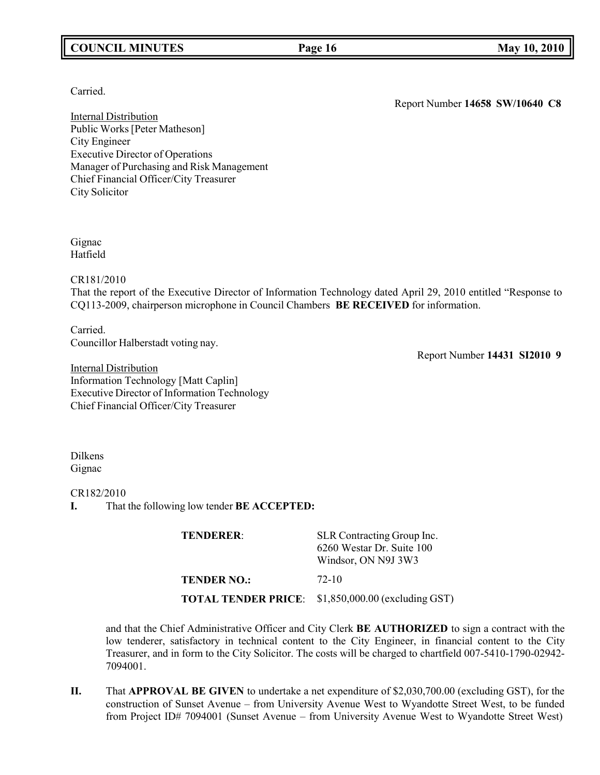# **COUNCIL MINUTES Page 16 May 10, 2010**

## Carried.

Internal Distribution Public Works[Peter Matheson] City Engineer Executive Director of Operations Manager of Purchasing and Risk Management Chief Financial Officer/City Treasurer City Solicitor

Gignac Hatfield

CR181/2010

That the report of the Executive Director of Information Technology dated April 29, 2010 entitled "Response to CQ113-2009, chairperson microphone in Council Chambers **BE RECEIVED** for information.

Carried. Councillor Halberstadt voting nay.

Report Number **14431 SI2010 9**

Report Number **14658 SW/10640 C8**

Internal Distribution Information Technology [Matt Caplin] Executive Director of Information Technology Chief Financial Officer/City Treasurer

Dilkens Gignac

CR182/2010

**I.** That the following low tender **BE ACCEPTED:**

**TENDERER:** SLR Contracting Group Inc. 6260 Westar Dr. Suite 100 Windsor, ON N9J 3W3 **TENDER NO.:** 72-10

**TOTAL TENDER PRICE**: \$1,850,000.00 (excluding GST)

and that the Chief Administrative Officer and City Clerk **BE AUTHORIZED** to sign a contract with the low tenderer, satisfactory in technical content to the City Engineer, in financial content to the City Treasurer, and in form to the City Solicitor. The costs will be charged to chartfield 007-5410-1790-02942- 7094001.

**II.** That **APPROVAL BE GIVEN** to undertake a net expenditure of \$2,030,700.00 (excluding GST), for the construction of Sunset Avenue – from University Avenue West to Wyandotte Street West, to be funded from Project ID# 7094001 (Sunset Avenue – from University Avenue West to Wyandotte Street West)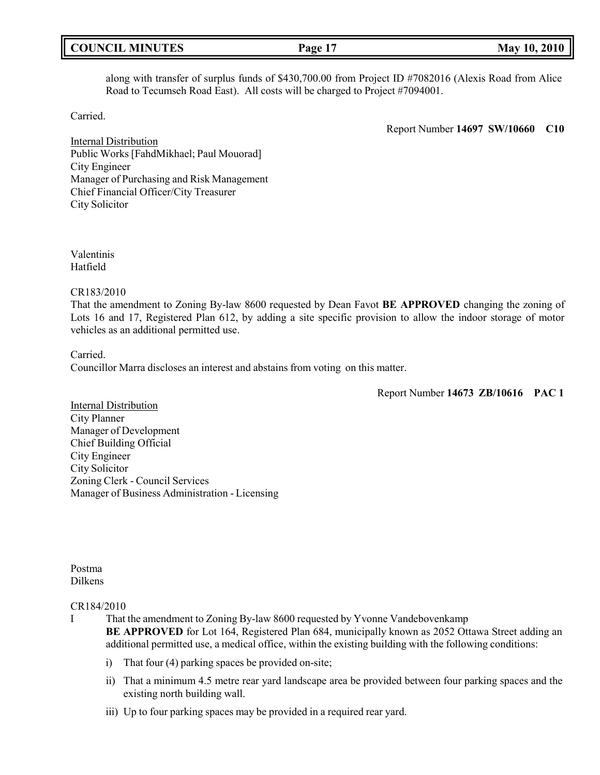| <b>COUNCIL MINUTES</b> |  |
|------------------------|--|
|------------------------|--|

along with transfer of surplus funds of \$430,700.00 from Project ID #7082016 (Alexis Road from Alice Road to Tecumseh Road East). All costs will be charged to Project #7094001.

Carried.

Report Number **14697 SW/10660 C10**

Internal Distribution Public Works [FahdMikhael; Paul Mouorad] City Engineer Manager of Purchasing and Risk Management Chief Financial Officer/City Treasurer City Solicitor

Valentinis Hatfield

CR183/2010

That the amendment to Zoning By-law 8600 requested by Dean Favot **BE APPROVED** changing the zoning of Lots 16 and 17, Registered Plan 612, by adding a site specific provision to allow the indoor storage of motor vehicles as an additional permitted use.

Carried.

Councillor Marra discloses an interest and abstains from voting on this matter.

Report Number **14673 ZB/10616 PAC 1**

Internal Distribution City Planner Manager of Development Chief Building Official City Engineer City Solicitor Zoning Clerk - Council Services Manager of Business Administration - Licensing

Postma Dilkens

#### CR184/2010

I That the amendment to Zoning By-law 8600 requested by Yvonne Vandebovenkamp **BE APPROVED** for Lot 164, Registered Plan 684, municipally known as 2052 Ottawa Street adding an additional permitted use, a medical office, within the existing building with the following conditions:

- i) That four (4) parking spaces be provided on-site;
- ii) That a minimum 4.5 metre rear yard landscape area be provided between four parking spaces and the existing north building wall.
- iii) Up to four parking spaces may be provided in a required rear yard.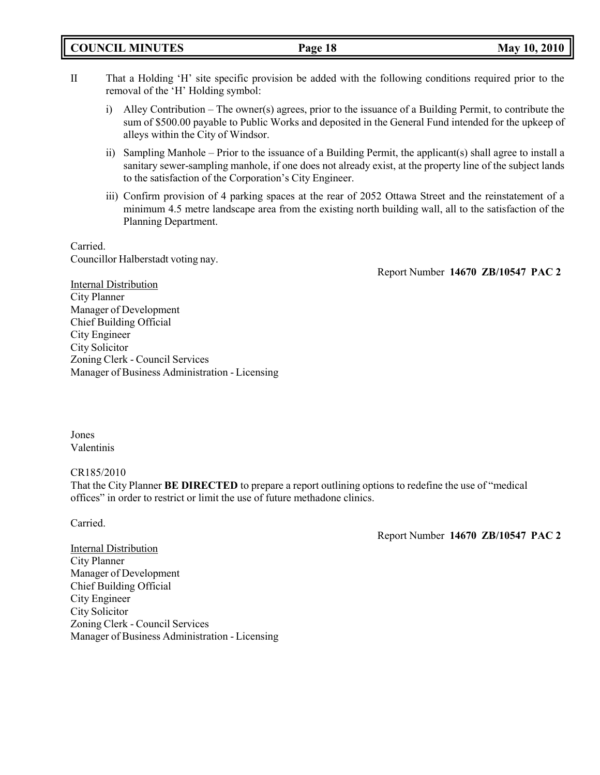- II That a Holding 'H' site specific provision be added with the following conditions required prior to the removal of the 'H' Holding symbol:
	- i) Alley Contribution The owner(s) agrees, prior to the issuance of a Building Permit, to contribute the sum of \$500.00 payable to Public Works and deposited in the General Fund intended for the upkeep of alleys within the City of Windsor.
	- ii) Sampling Manhole Prior to the issuance of a Building Permit, the applicant(s) shall agree to install a sanitary sewer-sampling manhole, if one does not already exist, at the property line of the subject lands to the satisfaction of the Corporation's City Engineer.
	- iii) Confirm provision of 4 parking spaces at the rear of 2052 Ottawa Street and the reinstatement of a minimum 4.5 metre landscape area from the existing north building wall, all to the satisfaction of the Planning Department.

Carried. Councillor Halberstadt voting nay.

Report Number **14670 ZB/10547 PAC 2**

Internal Distribution City Planner Manager of Development Chief Building Official City Engineer City Solicitor Zoning Clerk - Council Services Manager of Business Administration - Licensing

Jones Valentinis

CR185/2010

That the City Planner **BE DIRECTED** to prepare a report outlining options to redefine the use of "medical offices" in order to restrict or limit the use of future methadone clinics.

Carried.

Report Number **14670 ZB/10547 PAC 2**

Internal Distribution City Planner Manager of Development Chief Building Official City Engineer City Solicitor Zoning Clerk - Council Services Manager of Business Administration - Licensing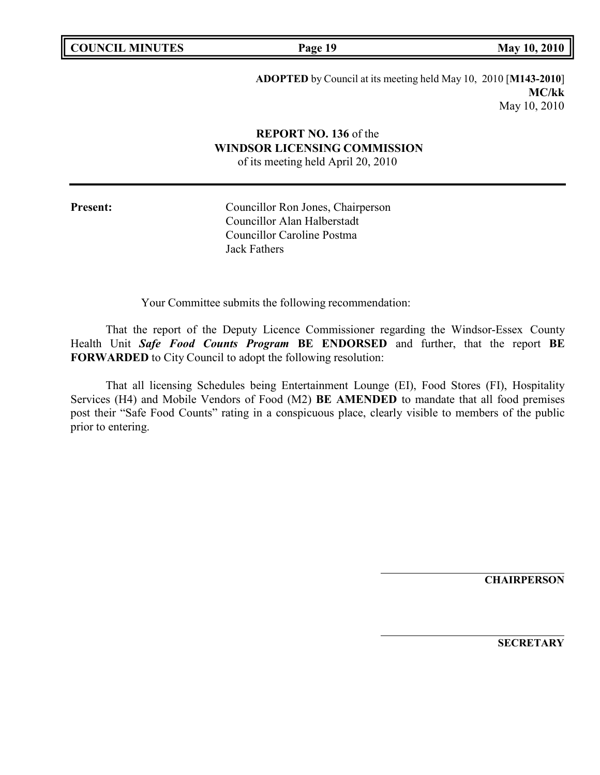|  | <b>COUNCIL MINUTES</b> |
|--|------------------------|
|--|------------------------|

**COUNCIL EXECUTE: COUNCIL May** 10, 2010

**ADOPTED** by Council at its meeting held May 10, 2010 [**M143-2010**] **MC/kk** May 10, 2010

# **REPORT NO. 136** of the **WINDSOR LICENSING COMMISSION**

of its meeting held April 20, 2010

Present: Councillor Ron Jones, Chairperson Councillor Alan Halberstadt Councillor Caroline Postma Jack Fathers

Your Committee submits the following recommendation:

That the report of the Deputy Licence Commissioner regarding the Windsor-Essex County Health Unit *Safe Food Counts Program* **BE ENDORSED** and further, that the report **BE FORWARDED** to City Council to adopt the following resolution:

That all licensing Schedules being Entertainment Lounge (EI), Food Stores (FI), Hospitality Services (H4) and Mobile Vendors of Food (M2) **BE AMENDED** to mandate that all food premises post their "Safe Food Counts" rating in a conspicuous place, clearly visible to members of the public prior to entering.

**CHAIRPERSON**

**SECRETARY**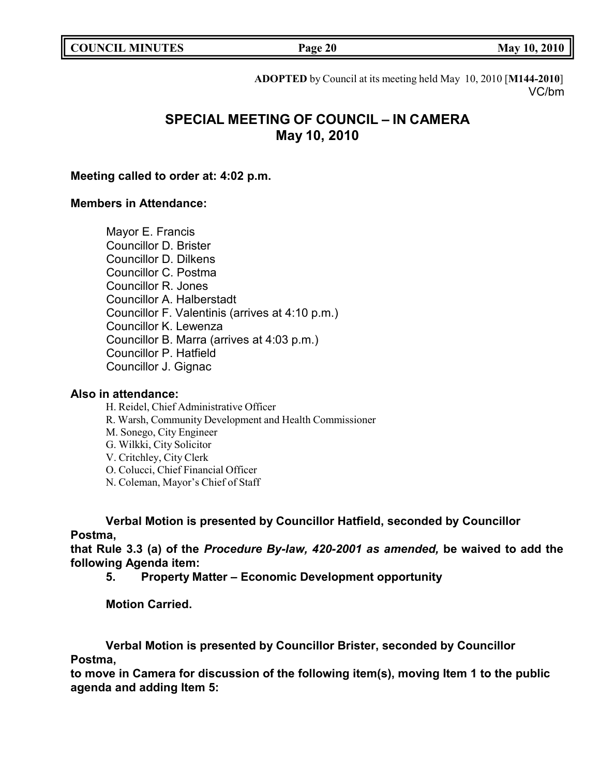**COUNCIL EXECUTE: COUNCIL EXECUTE: Page 20 May** 10, 2010

**ADOPTED** by Council at its meeting held May 10, 2010 [**M144-2010**] VC/bm

# **SPECIAL MEETING OF COUNCIL – IN CAMERA May 10, 2010**

## **Meeting called to order at: 4:02 p.m.**

## **Members in Attendance:**

Mayor E. Francis Councillor D. Brister Councillor D. Dilkens Councillor C. Postma Councillor R. Jones Councillor A. Halberstadt Councillor F. Valentinis (arrives at 4:10 p.m.) Councillor K. Lewenza Councillor B. Marra (arrives at 4:03 p.m.) Councillor P. Hatfield Councillor J. Gignac

### **Also in attendance:**

- H. Reidel, Chief Administrative Officer
- R. Warsh, Community Development and Health Commissioner
- M. Sonego, City Engineer
- G. Wilkki, City Solicitor
- V. Critchley, City Clerk
- O. Colucci, Chief Financial Officer
- N. Coleman, Mayor's Chief of Staff

# **Verbal Motion is presented by Councillor Hatfield, seconded by Councillor Postma,**

**that Rule 3.3 (a) of the** *Procedure By-law, 420-2001 as amended,* **be waived to add the following Agenda item:**

**5. Property Matter – Economic Development opportunity**

**Motion Carried.**

# **Verbal Motion is presented by Councillor Brister, seconded by Councillor Postma,**

**to move in Camera for discussion of the following item(s), moving Item 1 to the public agenda and adding Item 5:**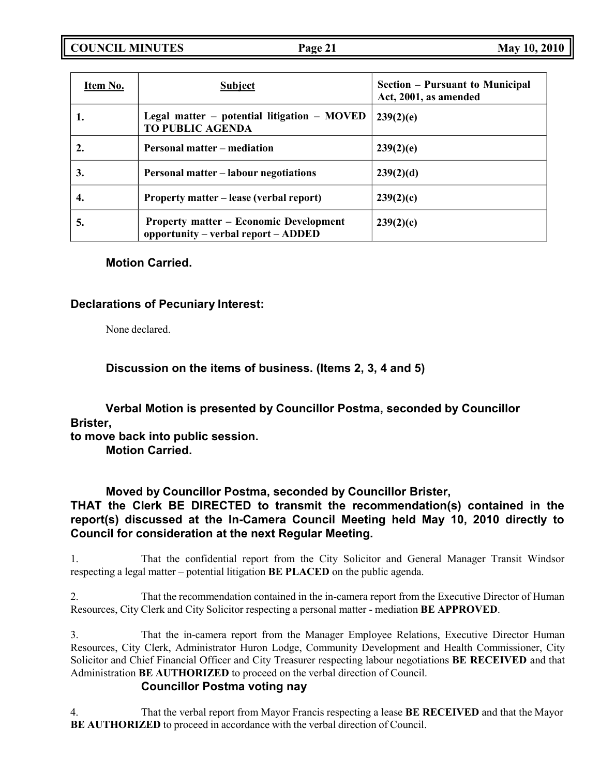**COUNCIL MINUTES Page 21 May 10, 2010**

| Item No. | <b>Subject</b>                                                                       | Section – Pursuant to Municipal<br>Act, 2001, as amended |
|----------|--------------------------------------------------------------------------------------|----------------------------------------------------------|
|          | Legal matter – potential litigation – MOVED<br><b>TO PUBLIC AGENDA</b>               | 239(2)(e)                                                |
|          | <b>Personal matter – mediation</b>                                                   | 239(2)(e)                                                |
| 3.       | <b>Personal matter – labour negotiations</b>                                         | 239(2)(d)                                                |
| 4.       | Property matter – lease (verbal report)                                              | 239(2)(c)                                                |
| 5.       | <b>Property matter – Economic Development</b><br>opportunity – verbal report – ADDED | 239(2)(c)                                                |

# **Motion Carried.**

# **Declarations of Pecuniary Interest:**

None declared.

**Discussion on the items of business. (Items 2, 3, 4 and 5)**

**Verbal Motion is presented by Councillor Postma, seconded by Councillor Brister, to move back into public session.**

**Motion Carried.**

# **Moved by Councillor Postma, seconded by Councillor Brister,**

# **THAT the Clerk BE DIRECTED to transmit the recommendation(s) contained in the report(s) discussed at the In-Camera Council Meeting held May 10, 2010 directly to Council for consideration at the next Regular Meeting.**

1. That the confidential report from the City Solicitor and General Manager Transit Windsor respecting a legal matter – potential litigation **BE PLACED** on the public agenda.

2. That the recommendation contained in the in-camera report from the Executive Director of Human Resources, City Clerk and City Solicitor respecting a personal matter - mediation **BE APPROVED**.

3. That the in-camera report from the Manager Employee Relations, Executive Director Human Resources, City Clerk, Administrator Huron Lodge, Community Development and Health Commissioner, City Solicitor and Chief Financial Officer and City Treasurer respecting labour negotiations **BE RECEIVED** and that Administration **BE AUTHORIZED** to proceed on the verbal direction of Council.

# **Councillor Postma voting nay**

4. That the verbal report from Mayor Francis respecting a lease **BE RECEIVED** and that the Mayor **BE AUTHORIZED** to proceed in accordance with the verbal direction of Council.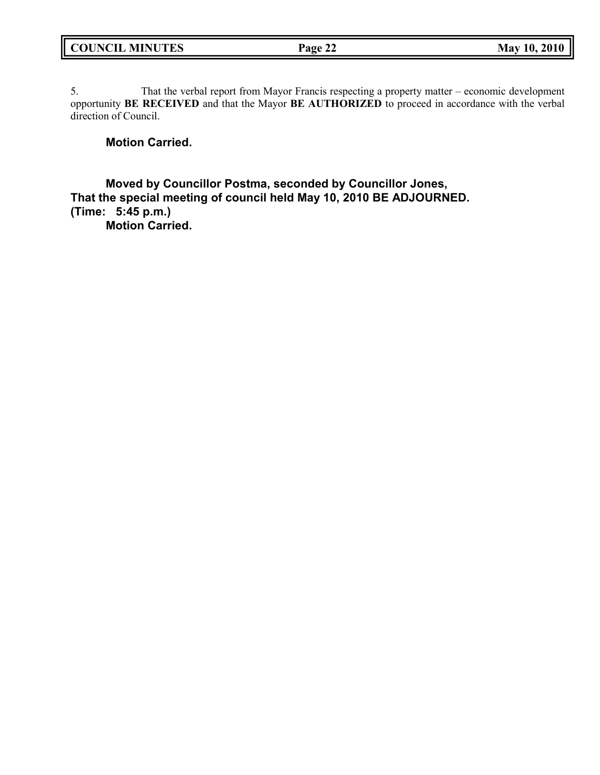5. That the verbal report from Mayor Francis respecting a property matter – economic development opportunity **BE RECEIVED** and that the Mayor **BE AUTHORIZED** to proceed in accordance with the verbal direction of Council.

# **Motion Carried.**

**Moved by Councillor Postma, seconded by Councillor Jones, That the special meeting of council held May 10, 2010 BE ADJOURNED. (Time: 5:45 p.m.)**

**Motion Carried.**